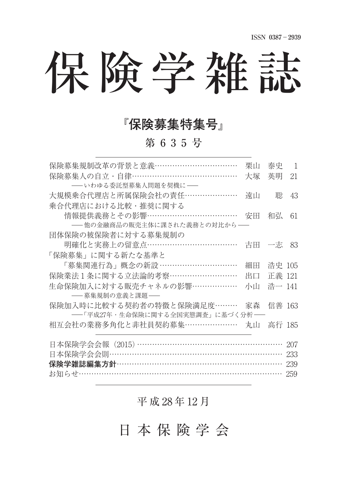# 保険学雑誌

### **⼨保険募集特集号⼩**

第 6 3 5 号

| 保険募集規制改革の背景と意義……………………………                                                   | 栗山 | 泰史     | -1  |
|-----------------------------------------------------------------------------|----|--------|-----|
| 保険募集人の自立・自律…………………………………                                                    | 大塚 | 英明     | 21  |
| ――いわゆる委託型募集人問題を契機に――                                                        |    |        |     |
| 大規模乗合代理店と所属保険会社の責任…………………                                                   | 遠山 | 聡      | 43  |
| 乗合代理店における比較・推奨に関する                                                          |    |        |     |
| 情報提供義務とその影響………………………………                                                     | 安田 | 和弘     | 61  |
| ──他の金融商品の販売主体に課された義務との対比から──                                                |    |        |     |
| 団体保険の被保険者に対する募集規制の                                                          |    |        |     |
| 明確化と実務上の留意点………………………………                                                     | 古田 | 一志     | 83  |
| 「保険募集」に関する新たな基準と                                                            |    |        |     |
| 「募集関連行為」概念の新設 …………………………                                                    | 細田 | 浩史 105 |     |
| 保険業法1条に関する立法論的考察………………………                                                   | 出口 | 正義 121 |     |
| 生命保険加入に対する販売チャネルの影響………………                                                   | 小山 | 浩一 141 |     |
|                                                                             |    |        |     |
| 保険加入時に比較する契約者の特徴と保険満足度………                                                   | 家森 | 信善 163 |     |
| ――「平成27年・生命保険に関する全国実態調査」に基づく分析――                                            |    |        |     |
| 相互会社の業務多角化と非社員契約募集…………………                                                   | 丸山 | 高行 185 |     |
|                                                                             |    |        |     |
| 日本保険学会会報(2015)…………………………………………………                                           |    |        | 207 |
| 日本保険学会会則…………………………………………………………                                              |    |        | 233 |
| <b>保険学雑誌編集方針…………………………………………………………</b><br>お知らせ…………………………………………………………………………… |    |        | 239 |
|                                                                             |    |        | 259 |

#### 平 成 28 年 12 月

日 本 保 険 学 会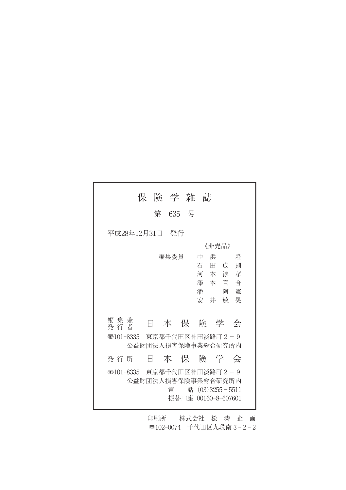|                           |   | 保険学雑誌 |                                                                  |                                                |  |
|---------------------------|---|-------|------------------------------------------------------------------|------------------------------------------------|--|
|                           | 第 | 635 号 |                                                                  |                                                |  |
| 平成28年12月31日  発行           |   |       |                                                                  |                                                |  |
|                           |   |       | 《非壳品》                                                            |                                                |  |
|                           |   | 編集委員  | 浜<br>中<br>石田成<br>潘<br>安 井                                        | 降<br>一則<br>河本淳孝<br>澤 本 百 合<br>憲<br>阿<br>晃<br>敏 |  |
| 編 集 兼<br>発 行 者            | 8 |       |                                                                  | 本保険学会                                          |  |
| ক্ত101-8335               |   |       | 東京都千代田区神田淡路町2-9<br>公益財団法人捐害保除事業総合研究所内                            |                                                |  |
| 発 行 所                     |   |       | 日 本 保 険 学 会                                                      |                                                |  |
| 501-8335  東京都千代田区神田淡路町2−9 |   | 電     | 公益財団法人損害保険事業総合研究所内<br>話 $(03)3255 - 5511$<br>振替口座 00160-8-607601 |                                                |  |

印刷所 株式会社 松 涛 企 画 ●102-0074 千代田区九段南 3-2-2